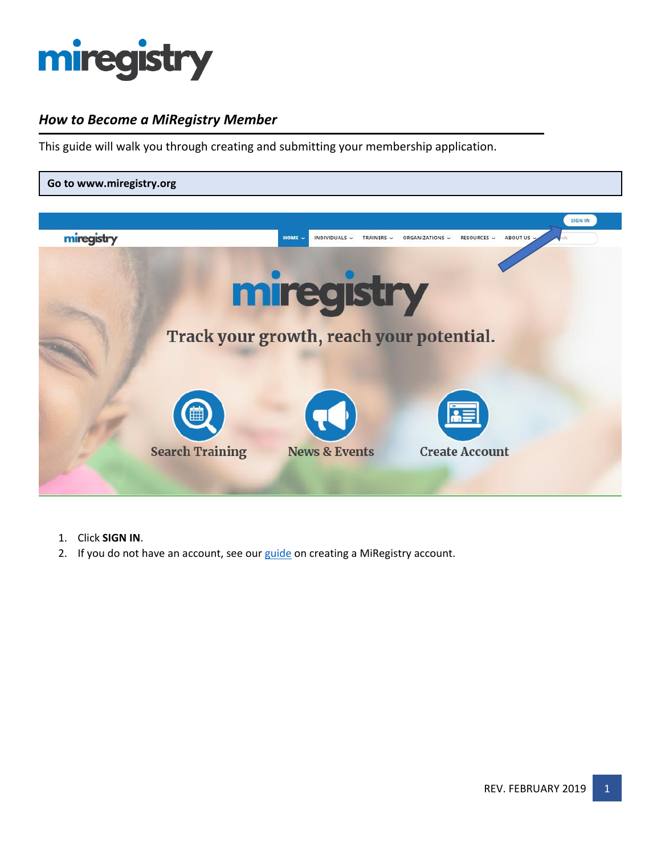

## *How to Become a MiRegistry Member*

This guide will walk you through creating and submitting your membership application.



- 1. Click **SIGN IN**.
- 2. If you do not have an account, see our [guide](http://miregistry.org/pdf/creating-account.pdf) on creating a MiRegistry account.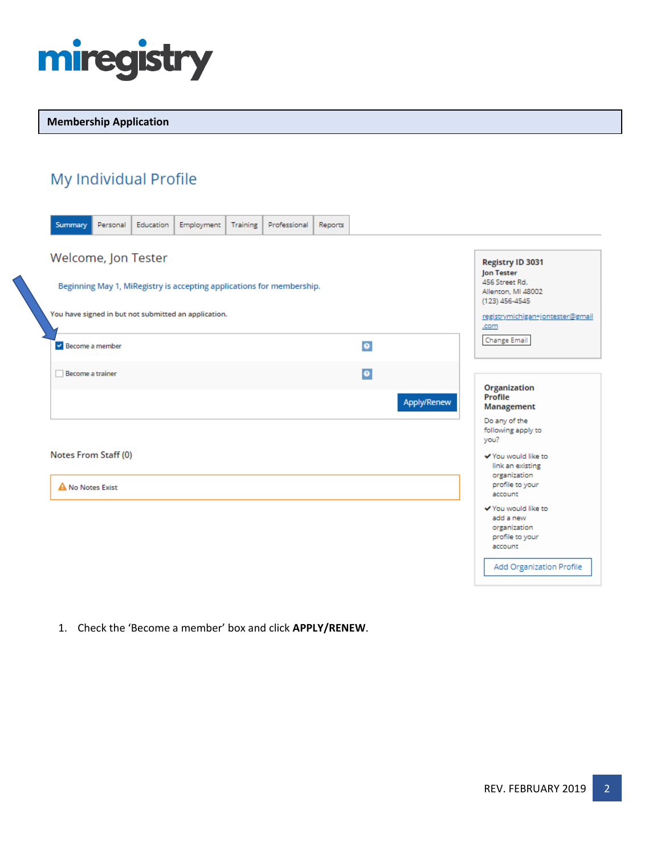

### **Membership Application**

# My Individual Profile

| Summary<br>Personal                                                   | Education | Employment | Training | Professional | Reports |             |                                                         |
|-----------------------------------------------------------------------|-----------|------------|----------|--------------|---------|-------------|---------------------------------------------------------|
| Welcome, Jon Tester                                                   |           |            |          |              |         |             | Registry ID 3031<br>Jon Tester                          |
| Beginning May 1, MiRegistry is accepting applications for membership. |           |            |          |              |         |             | 456 Street Rd.<br>Allenton, MI 48002<br>(123) 456-4545  |
| You have signed in but not submitted an application.                  |           |            |          |              |         |             | registrymichigan+jontester@gmail<br>.com                |
| Become a member                                                       |           |            |          |              |         | $\bullet$   | <b>Change Email</b>                                     |
| Become a trainer                                                      |           |            |          |              |         | $\bullet$   | <b>Organization</b>                                     |
|                                                                       |           |            |          |              |         | Apply/Renew | Profile<br>Management<br>Do any of the                  |
|                                                                       |           |            |          |              |         |             | following apply to<br>you?                              |
| Notes From Staff (0)                                                  |           |            |          |              |         |             | ✔ You would like to<br>link an existing<br>organization |
| A No Notes Exist                                                      |           |            |          |              |         |             | profile to your<br>account<br>✔ You would like to       |
|                                                                       |           |            |          |              |         |             | add a new<br>organization<br>profile to your<br>account |
|                                                                       |           |            |          |              |         |             | Add Organization Profile                                |

1. Check the 'Become a member' box and click **APPLY/RENEW**.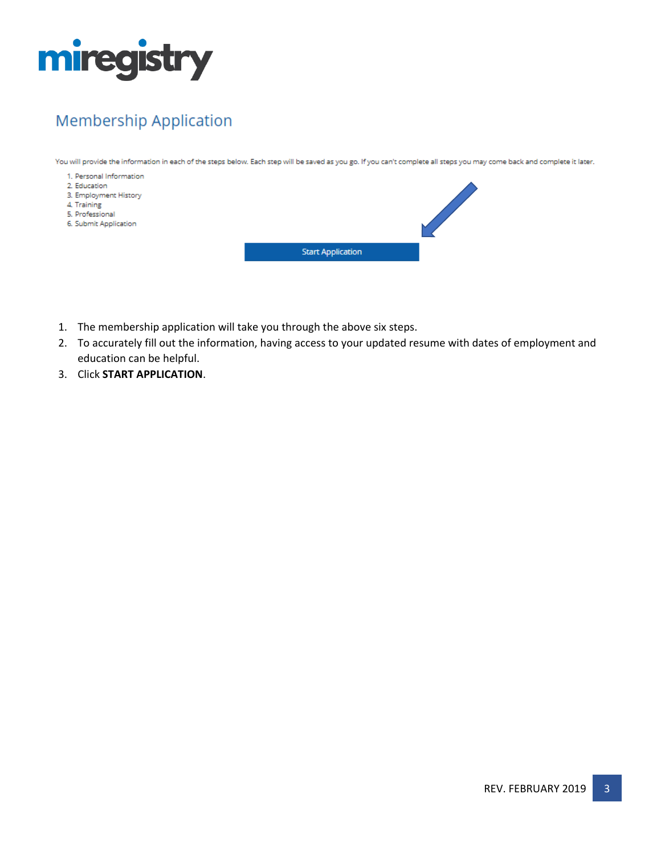

# **Membership Application**

You will provide the information in each of the steps below. Each step will be saved as you go. If you can't complete all steps you may come back and complete it later.



- 1. The membership application will take you through the above six steps.
- 2. To accurately fill out the information, having access to your updated resume with dates of employment and education can be helpful.
- 3. Click **START APPLICATION**.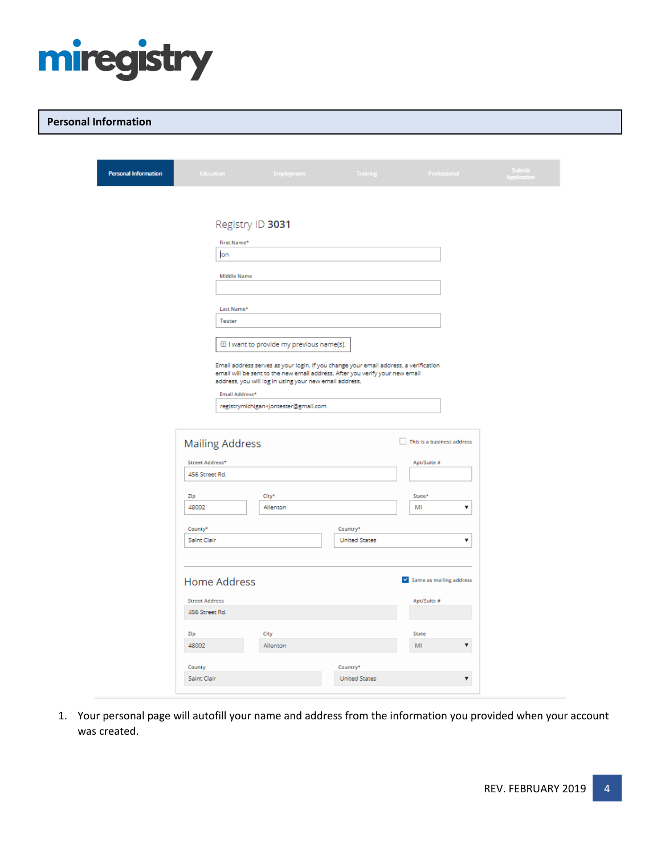

### **Personal Information**

| <b>Personal Information</b> | Education              | Employment                                                                                                                                                           | Training <b>Committee</b>        | Professional               | Submit<br>Application |
|-----------------------------|------------------------|----------------------------------------------------------------------------------------------------------------------------------------------------------------------|----------------------------------|----------------------------|-----------------------|
|                             |                        |                                                                                                                                                                      |                                  |                            |                       |
|                             | Registry ID 3031       |                                                                                                                                                                      |                                  |                            |                       |
|                             | First Name*            |                                                                                                                                                                      |                                  |                            |                       |
|                             | lon                    |                                                                                                                                                                      |                                  |                            |                       |
|                             | <b>Middle Name</b>     |                                                                                                                                                                      |                                  |                            |                       |
|                             |                        |                                                                                                                                                                      |                                  |                            |                       |
|                             | Last Name*             |                                                                                                                                                                      |                                  |                            |                       |
|                             | Tester                 |                                                                                                                                                                      |                                  |                            |                       |
|                             |                        | El I want to provide my previous name(s).                                                                                                                            |                                  |                            |                       |
|                             |                        | Email address serves as your login. If you change your email address, a verification<br>email will be sent to the new email address. After you verify your new email |                                  |                            |                       |
|                             |                        | address, you will log in using your new email address.                                                                                                               |                                  |                            |                       |
|                             | Email Address*         | registrymichigan+jontester@gmail.com                                                                                                                                 |                                  |                            |                       |
|                             |                        |                                                                                                                                                                      |                                  |                            |                       |
|                             | <b>Mailing Address</b> |                                                                                                                                                                      |                                  | This is a business address |                       |
|                             | Street Address*        |                                                                                                                                                                      |                                  | Apt/Suite #                |                       |
|                             | 456 Street Rd.         |                                                                                                                                                                      |                                  |                            |                       |
|                             | Zip                    | City*                                                                                                                                                                |                                  | State*                     |                       |
|                             | 48002                  | Allenton                                                                                                                                                             |                                  | MI<br>۷                    |                       |
|                             | County*                |                                                                                                                                                                      | Country*                         |                            |                       |
|                             | Saint Clair            |                                                                                                                                                                      | <b>United States</b>             | ۷                          |                       |
|                             |                        |                                                                                                                                                                      |                                  |                            |                       |
|                             | <b>Home Address</b>    |                                                                                                                                                                      |                                  | Same as mailing address    |                       |
|                             | <b>Street Address</b>  |                                                                                                                                                                      |                                  | Apt/Suite #                |                       |
|                             | 456 Street Rd.         |                                                                                                                                                                      |                                  |                            |                       |
|                             | Zip<br>48002           | City<br>Allenton                                                                                                                                                     |                                  | State<br>▼<br>MI           |                       |
|                             |                        |                                                                                                                                                                      |                                  |                            |                       |
|                             | County<br>Saint Clair  |                                                                                                                                                                      | Country*<br><b>United States</b> | $\pmb{\nabla}$             |                       |
|                             |                        |                                                                                                                                                                      |                                  |                            |                       |

1. Your personal page will autofill your name and address from the information you provided when your account was created.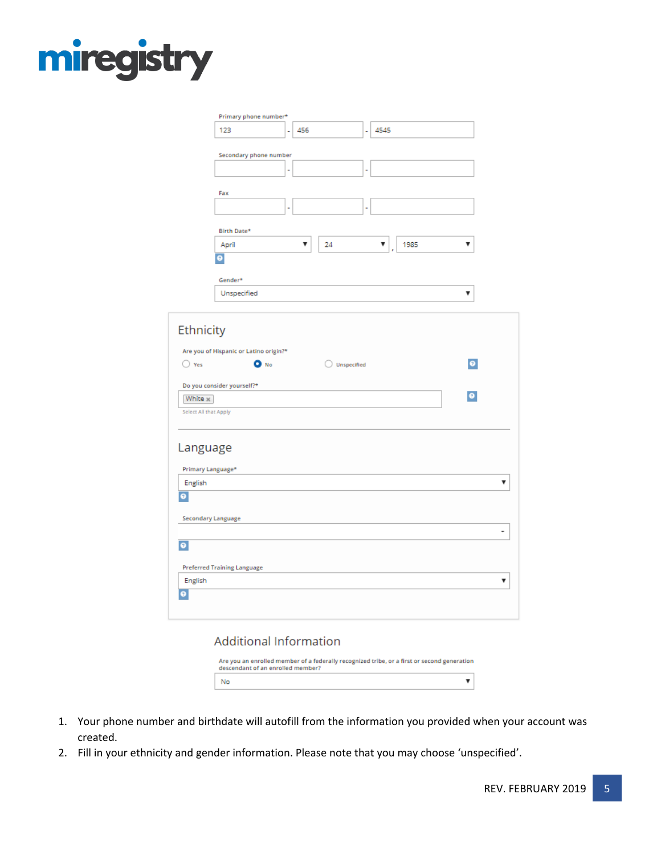

|                       | Primary phone number*                  |    |             |   |           |           |  |
|-----------------------|----------------------------------------|----|-------------|---|-----------|-----------|--|
|                       | 123                                    | L, | 456         | ä | 4545      |           |  |
|                       |                                        |    |             |   |           |           |  |
|                       | Secondary phone number                 |    |             |   |           |           |  |
|                       |                                        | ı, |             | ٠ |           |           |  |
|                       | Fax                                    |    |             |   |           |           |  |
|                       |                                        | ۰  |             | ۰ |           |           |  |
|                       | Birth Date*                            |    |             |   |           |           |  |
|                       | April                                  |    | 24<br>▼     |   | 1985<br>▼ | ▼         |  |
|                       | ¥                                      |    |             |   |           |           |  |
|                       | Gender*                                |    |             |   |           |           |  |
|                       | Unspecified                            |    |             |   |           | ۷         |  |
|                       |                                        |    |             |   |           |           |  |
| Ethnicity             |                                        |    |             |   |           |           |  |
|                       | Are you of Hispanic or Latino origin?* |    |             |   |           |           |  |
| $\bigcirc$ Yes        | O No                                   |    | Unspecified |   |           | $\bullet$ |  |
|                       | Do you consider yourself?*             |    |             |   |           |           |  |
| White x               |                                        |    |             |   |           | o.        |  |
| Select All that Apply |                                        |    |             |   |           |           |  |
| Language              |                                        |    |             |   |           |           |  |
| Primary Language*     |                                        |    |             |   |           |           |  |
| English               |                                        |    |             |   |           |           |  |
| ۰                     |                                        |    |             |   |           |           |  |
| Secondary Language    |                                        |    |             |   |           |           |  |
| $\bullet$             |                                        |    |             |   |           |           |  |
|                       | <b>Preferred Training Language</b>     |    |             |   |           |           |  |
| English               |                                        |    |             |   |           |           |  |
| ۰                     |                                        |    |             |   |           |           |  |
|                       |                                        |    |             |   |           |           |  |
|                       |                                        |    |             |   |           |           |  |

### **Additional Information**

| Are you an enrolled member of a federally recognized tribe, or a first or second generation<br>descendant of an enrolled member? |  |
|----------------------------------------------------------------------------------------------------------------------------------|--|
| No                                                                                                                               |  |

- 1. Your phone number and birthdate will autofill from the information you provided when your account was created.
- 2. Fill in your ethnicity and gender information. Please note that you may choose 'unspecified'.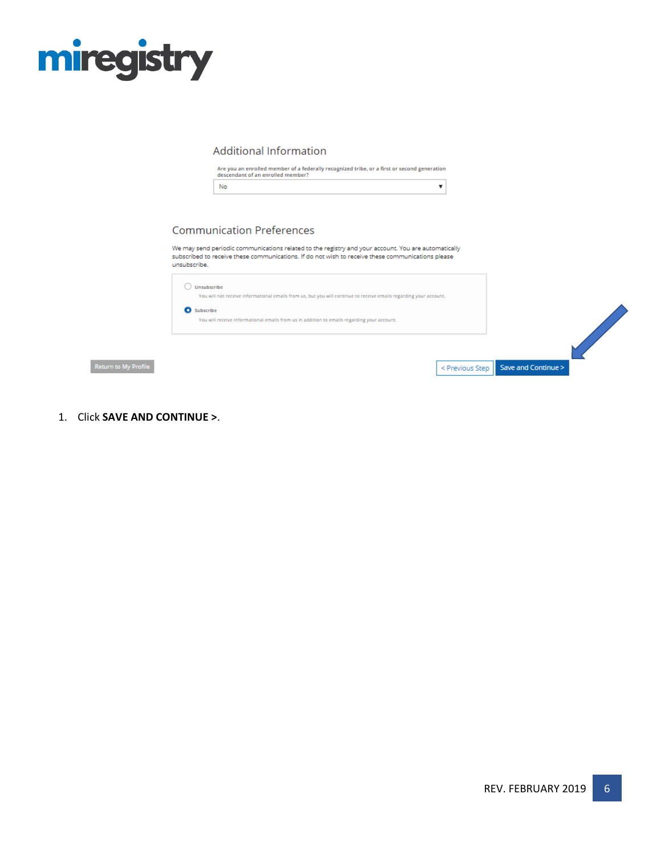

### **Additional Information**

Are you an enrolled member of a federally recognized tribe, or a first or second generation<br>descendant of an enrolled member?

|--|

### **Communication Preferences**

We may send periodic communications related to the registry and your account. You are automatically subscribed to receive these communications. If do not wish to receive these communications please unsubscribe.

|              | Unsubscribe<br>You will not receive informational emails from us, but you will continue to receive emails regarding your account.<br>Subscribe<br>You will receive informational emails from us in addition to emails regarding your account. |                                       |
|--------------|-----------------------------------------------------------------------------------------------------------------------------------------------------------------------------------------------------------------------------------------------|---------------------------------------|
| o My Profile |                                                                                                                                                                                                                                               | < Previous Step   Save and Continue > |

1. Click **SAVE AND CONTINUE >**.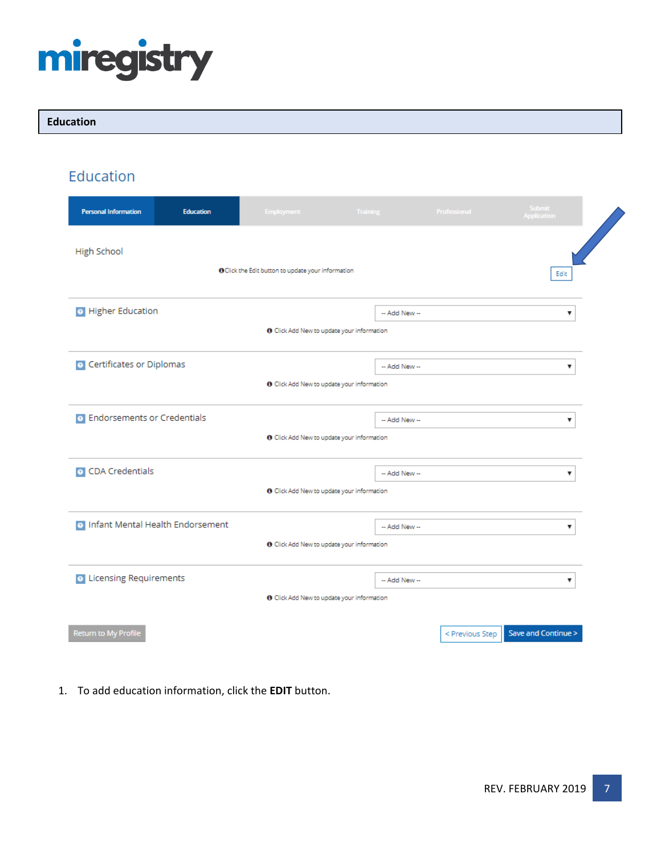

### **Education**

Education

| <b>Personal Information</b>                                                                                     | <b>Education</b> | <b>Employment</b>                                         | Training      | Professional    | Submit<br><b>Application</b> |  |  |  |
|-----------------------------------------------------------------------------------------------------------------|------------------|-----------------------------------------------------------|---------------|-----------------|------------------------------|--|--|--|
| <b>High School</b>                                                                                              |                  | <b>O</b> Click the Edit button to update your information |               |                 | Edit                         |  |  |  |
| <b>O</b> Higher Education<br>-- Add New --<br>▼<br><b>O</b> Click Add New to update your information            |                  |                                                           |               |                 |                              |  |  |  |
| <b>O</b> Certificates or Diplomas<br>-- Add New --<br>4<br><b>O</b> Click Add New to update your information    |                  |                                                           |               |                 |                              |  |  |  |
| <b>o</b> Endorsements or Credentials<br>-- Add New --<br>۰<br><b>O</b> Click Add New to update your information |                  |                                                           |               |                 |                              |  |  |  |
| <b>O</b> CDA Credentials                                                                                        |                  | <b>O</b> Click Add New to update your information         | -- Add New -- |                 | v                            |  |  |  |
| o Infant Mental Health Endorsement<br>-- Add New --<br>▼<br><b>O</b> Click Add New to update your information   |                  |                                                           |               |                 |                              |  |  |  |
| <b>o</b> Licensing Requirements                                                                                 |                  | <b>O</b> Click Add New to update your information         | -- Add New -- |                 | ۷                            |  |  |  |
| Return to My Profile                                                                                            |                  |                                                           |               | < Previous Step | Save and Continue >          |  |  |  |

1. To add education information, click the **EDIT** button.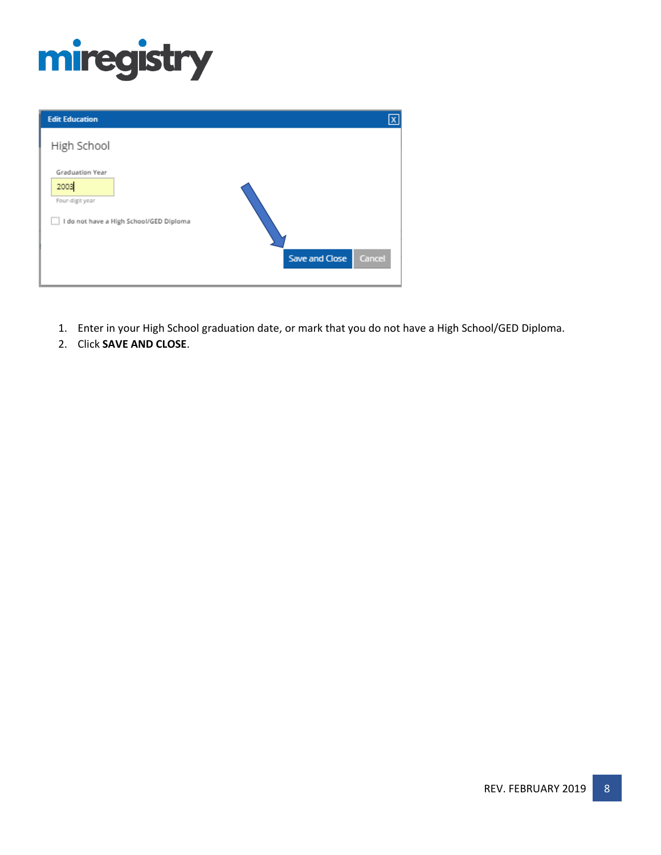

| <b>Edit Education</b>                                                                 | $\mathbf{x}$             |
|---------------------------------------------------------------------------------------|--------------------------|
| High School                                                                           |                          |
| Graduation Year<br>2003<br>Four-digit year<br>I do not have a High School/GED Diploma |                          |
|                                                                                       | Save and Close<br>Cancel |

- 1. Enter in your High School graduation date, or mark that you do not have a High School/GED Diploma.
- 2. Click **SAVE AND CLOSE**.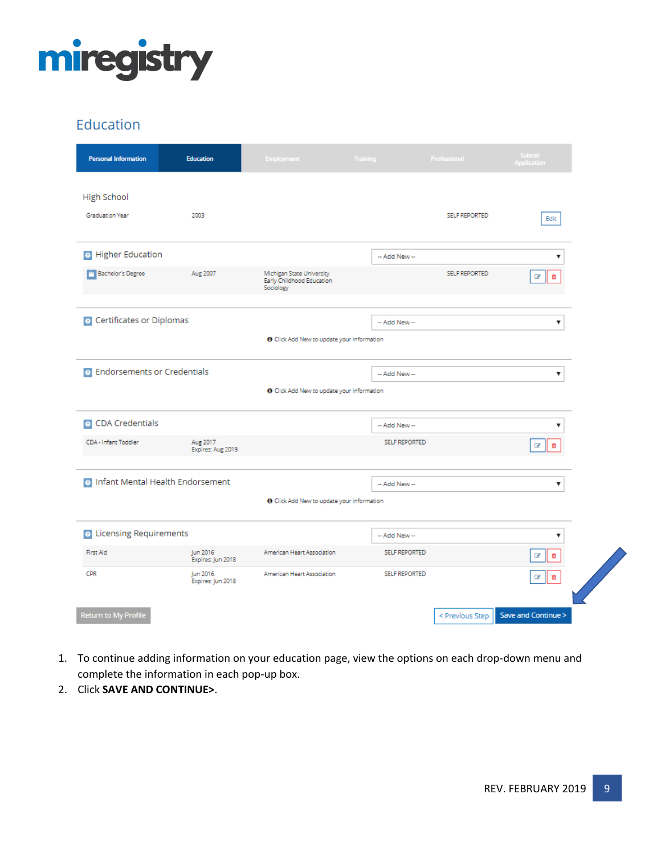

## Education

| <b>Personal Information</b>          | <b>Education</b>              | <b>Employment</b>                                                   | Training             | Professional         | Submit<br>Application   |
|--------------------------------------|-------------------------------|---------------------------------------------------------------------|----------------------|----------------------|-------------------------|
| <b>High School</b>                   |                               |                                                                     |                      |                      |                         |
| Graduation Year                      | 2003                          |                                                                     |                      | <b>SELF REPORTED</b> | Edit                    |
| <b>O</b> Higher Education            |                               |                                                                     | -- Add New --        |                      | ▼                       |
| Bachelor's Degree                    | Aug 2007                      | Michigan State University<br>Early Childhood Education<br>Sociology |                      | <b>SELF REPORTED</b> | Ø<br>面                  |
|                                      |                               |                                                                     |                      |                      |                         |
| O Certificates or Diplomas           |                               |                                                                     | -- Add New --        |                      | ▼                       |
|                                      |                               | <b>O</b> Click Add New to update your information                   |                      |                      |                         |
| <b>o</b> Endorsements or Credentials |                               |                                                                     | -- Add New --        |                      | ▼                       |
|                                      |                               | <b>O</b> Click Add New to update your information                   |                      |                      |                         |
| <b>O</b> CDA Credentials             |                               |                                                                     | -- Add New --        |                      | ▼                       |
| CDA - Infant Toddler                 | Aug 2017<br>Expires: Aug 2019 |                                                                     | <b>SELF REPORTED</b> |                      | Ø<br>亩                  |
|                                      |                               |                                                                     |                      |                      |                         |
| o Infant Mental Health Endorsement   |                               |                                                                     | -- Add New --        |                      | ▼                       |
|                                      |                               | <b>O</b> Click Add New to update your information                   |                      |                      |                         |
| <b>o</b> Licensing Requirements      |                               |                                                                     | -- Add New --        |                      | $\overline{\mathbf{v}}$ |
| First Aid                            | Jun 2016<br>Expires: Jun 2018 | American Heart Association                                          | <b>SELF REPORTED</b> |                      | Ø<br>Ō                  |
| CPR                                  | Jun 2016<br>Expires: Jun 2018 | American Heart Association                                          | <b>SELF REPORTED</b> |                      | û<br>Ø                  |
|                                      |                               |                                                                     |                      |                      |                         |
| Return to My Profile                 |                               |                                                                     |                      | < Previous Step      | Save and Continue >     |

- 1. To continue adding information on your education page, view the options on each drop-down menu and complete the information in each pop-up box.
- 2. Click **SAVE AND CONTINUE>**.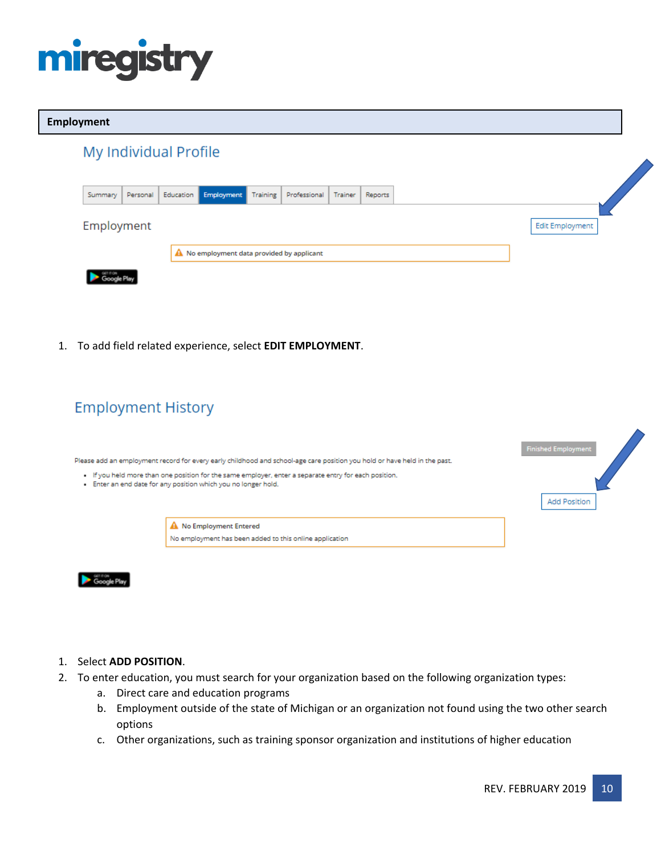

### **Employment**

|            |          | My Individual Profile |                                            |          |              |         |         |  |  |                 |  |
|------------|----------|-----------------------|--------------------------------------------|----------|--------------|---------|---------|--|--|-----------------|--|
| Summary    | Personal | Education             | <b>Employment</b>                          | Training | Professional | Trainer | Reports |  |  |                 |  |
| Employment |          |                       |                                            |          |              |         |         |  |  | Edit Employment |  |
|            |          |                       | A No employment data provided by applicant |          |              |         |         |  |  |                 |  |
|            |          |                       |                                            |          |              |         |         |  |  |                 |  |

1. To add field related experience, select **EDIT EMPLOYMENT**.

## **Employment History**

Please add an employment record for every early childhood and school-age care position you hold or have held in the past.

- . If you held more than one position for the same employer, enter a separate entry for each position.
- . Enter an end date for any position which you no longer hold.





### 1. Select **ADD POSITION**.

- 2. To enter education, you must search for your organization based on the following organization types:
	- a. Direct care and education programs
	- b. Employment outside of the state of Michigan or an organization not found using the two other search options
	- c. Other organizations, such as training sponsor organization and institutions of higher education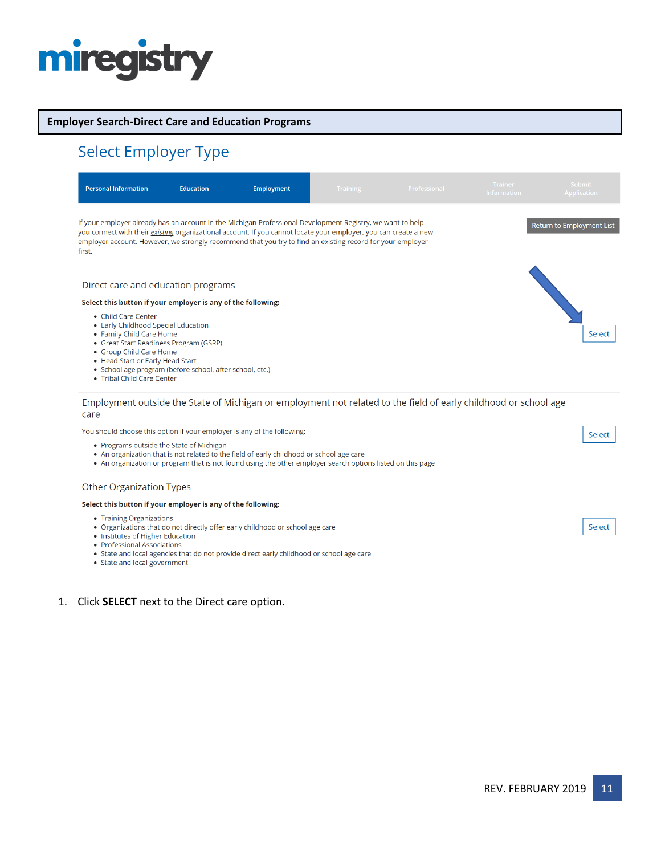# miregistry

### **Employer Search-Direct Care and Education Programs**

# Select Employer Type

| <b>Personal Information</b>                                                                                                                                                                                                                                                               | <b>Education</b> | <b>Employment</b>                                                                                                                                                                                                                                                                                                                            | <b>Training</b> | Professional | <b>Trainer</b><br><b>Information</b> | <b>Submit</b><br><b>Application</b> |
|-------------------------------------------------------------------------------------------------------------------------------------------------------------------------------------------------------------------------------------------------------------------------------------------|------------------|----------------------------------------------------------------------------------------------------------------------------------------------------------------------------------------------------------------------------------------------------------------------------------------------------------------------------------------------|-----------------|--------------|--------------------------------------|-------------------------------------|
| first.                                                                                                                                                                                                                                                                                    |                  | If your employer already has an account in the Michigan Professional Development Registry, we want to help<br>you connect with their existing organizational account. If you cannot locate your employer, you can create a new<br>employer account. However, we strongly recommend that you try to find an existing record for your employer |                 |              |                                      | Return to Employment List           |
| Direct care and education programs                                                                                                                                                                                                                                                        |                  |                                                                                                                                                                                                                                                                                                                                              |                 |              |                                      |                                     |
| Select this button if your employer is any of the following:                                                                                                                                                                                                                              |                  |                                                                                                                                                                                                                                                                                                                                              |                 |              |                                      |                                     |
| • Child Care Center<br>• Early Childhood Special Education<br>• Family Child Care Home<br>• Great Start Readiness Program (GSRP)<br>• Group Child Care Home<br>• Head Start or Early Head Start<br>• School age program (before school, after school, etc.)<br>• Tribal Child Care Center |                  |                                                                                                                                                                                                                                                                                                                                              |                 |              |                                      | Select                              |
| care                                                                                                                                                                                                                                                                                      |                  | Employment outside the State of Michigan or employment not related to the field of early childhood or school age                                                                                                                                                                                                                             |                 |              |                                      |                                     |
| You should choose this option if your employer is any of the following:                                                                                                                                                                                                                   |                  |                                                                                                                                                                                                                                                                                                                                              |                 |              |                                      | Select                              |
| • Programs outside the State of Michigan                                                                                                                                                                                                                                                  |                  | • An organization that is not related to the field of early childhood or school age care<br>• An organization or program that is not found using the other employer search options listed on this page                                                                                                                                       |                 |              |                                      |                                     |
| <b>Other Organization Types</b>                                                                                                                                                                                                                                                           |                  |                                                                                                                                                                                                                                                                                                                                              |                 |              |                                      |                                     |

#### Select this button if your employer is any of the following:

- Training Organizations
- Organizations that do not directly offer early childhood or school age care
- Institutes of Higher Education
- Professional Associations
- Professional Associations<br>• State and local agencies that do not provide direct early childhood or school age care<br>• State and local government
- 

### 1. Click **SELECT** next to the Direct care option.

Select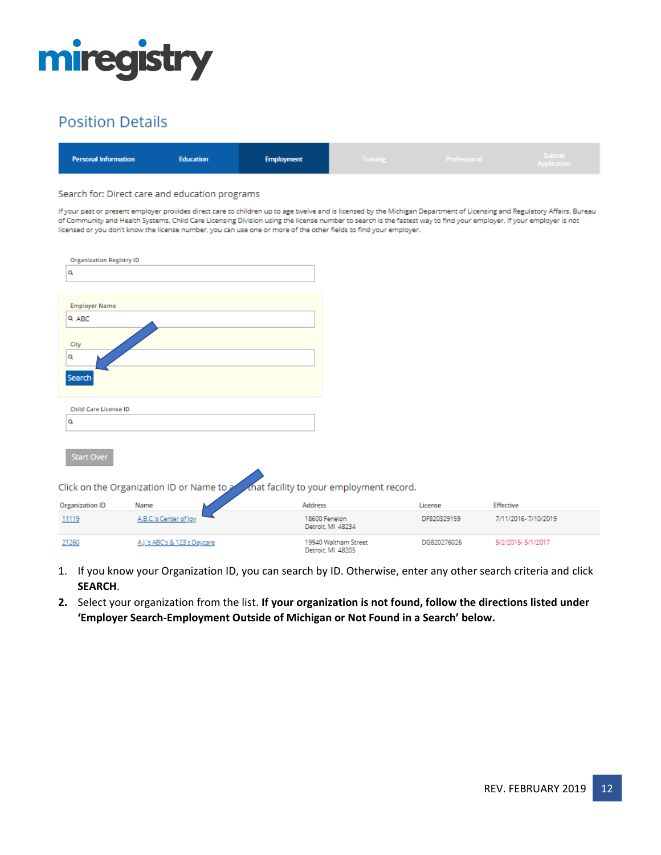

## **Position Details**

| <b>Personal Information</b><br><b>Education</b><br><b>Employment</b> | Training | Professional | Submit<br>Application |
|----------------------------------------------------------------------|----------|--------------|-----------------------|
|----------------------------------------------------------------------|----------|--------------|-----------------------|

#### Search for: Direct care and education programs

If your past or present employer provides direct care to children up to age twelve and is licensed by the Michigan Department of Licensing and Regulatory Affairs, Bureau of Community and Health Systems, Child Care Licensing Division using the license number to search is the fastest way to find your employer. If your employer is not licensed or you don't know the license number, you can use one or more of the other fields to find your employer.

| <b>Organization Registry ID</b> |                                           |                                           |             |                     |  |
|---------------------------------|-------------------------------------------|-------------------------------------------|-------------|---------------------|--|
| Q                               |                                           |                                           |             |                     |  |
|                                 |                                           |                                           |             |                     |  |
| <b>Employer Name</b>            |                                           |                                           |             |                     |  |
| Q ABC                           |                                           |                                           |             |                     |  |
| City                            |                                           |                                           |             |                     |  |
| Q                               |                                           |                                           |             |                     |  |
| Search                          |                                           |                                           |             |                     |  |
|                                 |                                           |                                           |             |                     |  |
| <b>Child Care License ID</b>    |                                           |                                           |             |                     |  |
| Q                               |                                           |                                           |             |                     |  |
|                                 |                                           |                                           |             |                     |  |
| Start Over                      |                                           |                                           |             |                     |  |
|                                 |                                           |                                           |             |                     |  |
|                                 | Click on the Organization ID or Name to 2 | mat facility to your employment record.   |             |                     |  |
| <b>Organization ID</b>          | Name                                      | <b>Address</b>                            | License     | Effective           |  |
| 11119                           | A.B.C.'s Center of Joy                    | 18600 Fenelon<br>Detroit, MI 48234        | DF820329159 | 7/11/2016-7/10/2019 |  |
| 21260                           | A.J.'s ABCs & 123's Daycare               | 19940 Waltham Street<br>Detroit, MI 48205 | DG820276026 | 5/2/2015-5/1/2017   |  |

- 1. If you know your Organization ID, you can search by ID. Otherwise, enter any other search criteria and click **SEARCH**.
- **2.** Select your organization from the list. **If your organization is not found, follow the directions listed under 'Employer Search-Employment Outside of Michigan or Not Found in a Search' below.**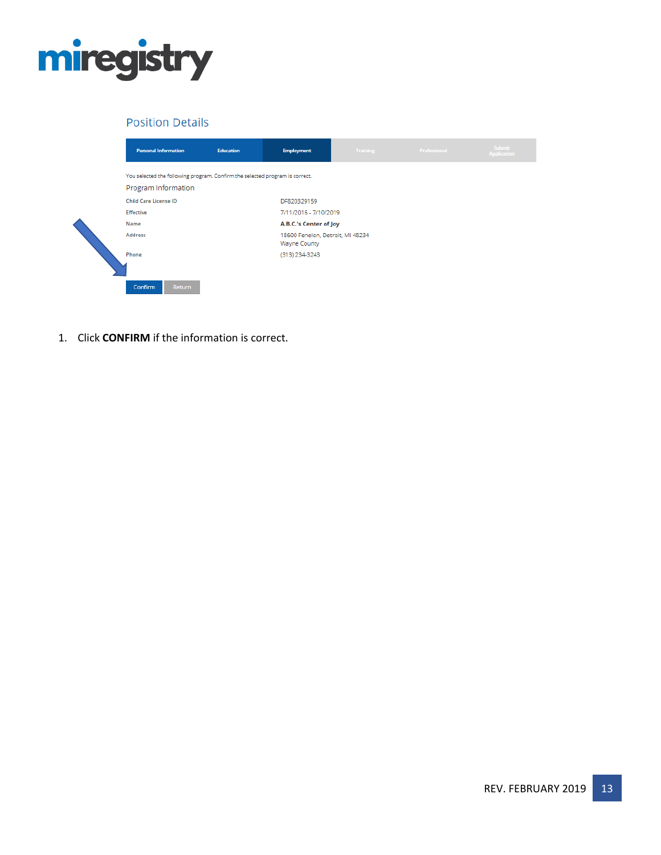

## **Position Details**

| <b>Personal Information</b>                                                                         | Education | <b>Employment</b>                                       | Training <b>Community</b> | Professional | Submit<br><b>Application</b> |
|-----------------------------------------------------------------------------------------------------|-----------|---------------------------------------------------------|---------------------------|--------------|------------------------------|
| You selected the following program. Confirm the selected program is correct.<br>Program Information |           |                                                         |                           |              |                              |
| <b>Child Care License ID</b>                                                                        |           | DF820329159                                             |                           |              |                              |
| <b>Effective</b>                                                                                    |           | 7/11/2016 - 7/10/2019                                   |                           |              |                              |
| Name                                                                                                |           | A.B.C.'s Center of Joy                                  |                           |              |                              |
| Address                                                                                             |           | 18600 Fenelon, Detroit, MI 48234<br><b>Wayne County</b> |                           |              |                              |
| Phone                                                                                               |           | (313) 234-3243                                          |                           |              |                              |
| Confirm<br>Return                                                                                   |           |                                                         |                           |              |                              |

1. Click **CONFIRM** if the information is correct.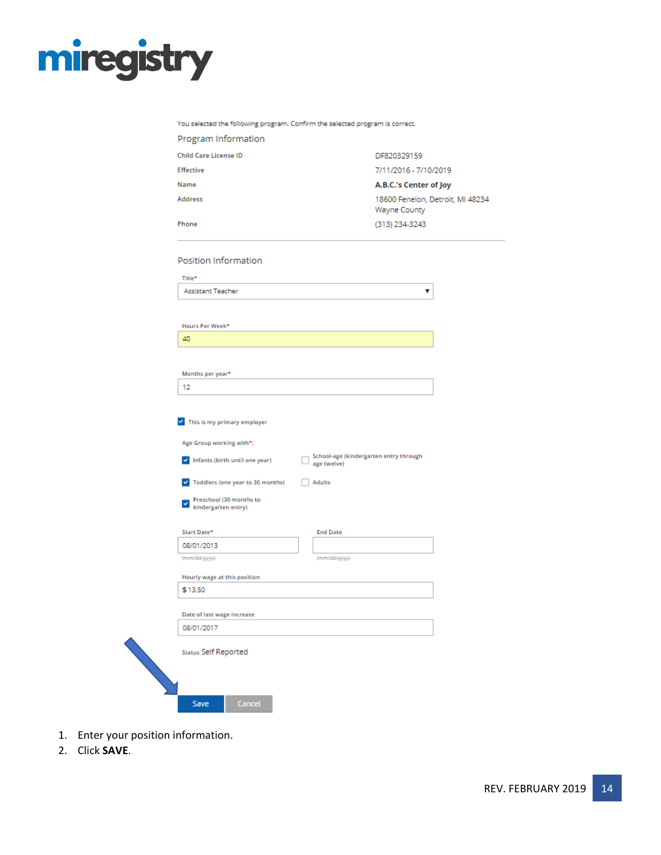

| Program Information                                               |                                                  |  |
|-------------------------------------------------------------------|--------------------------------------------------|--|
| <b>Child Care License ID</b>                                      | DF820329159                                      |  |
| Effective                                                         | 7/11/2016 - 7/10/2019                            |  |
| Name                                                              | A.B.C.'s Center of Joy                           |  |
| <b>Address</b>                                                    | 18600 Fenelon, Detroit, MI 48234<br>Wayne County |  |
| Phone                                                             | (313) 234-3243                                   |  |
| Position Information                                              |                                                  |  |
| Title*                                                            |                                                  |  |
| <b>Assistant Teacher</b>                                          | ▼                                                |  |
|                                                                   |                                                  |  |
| Hours Per Week*                                                   |                                                  |  |
| 40                                                                |                                                  |  |
|                                                                   |                                                  |  |
| Months per year*                                                  |                                                  |  |
| 12                                                                |                                                  |  |
|                                                                   |                                                  |  |
| This is my primary employer                                       |                                                  |  |
| Age Group working with*:                                          |                                                  |  |
| Infants (birth until one year)<br>$\checkmark$<br>age twelve)     | School-age (kindergarten entry through           |  |
| Toddlers (one year to 30 months)<br><b>Adults</b><br>$\checkmark$ |                                                  |  |
| Preschool (30 months to<br>×<br>kindergarten entry)               |                                                  |  |
| Start Date*<br><b>End Date</b>                                    |                                                  |  |
| 08/01/2013                                                        |                                                  |  |
| (mm/dd/yyyy)<br>(mm/dd/yyyy)                                      |                                                  |  |
| Hourly wage at this position                                      |                                                  |  |
| \$13.50                                                           |                                                  |  |
| Date of last wage increase                                        |                                                  |  |
| 08/01/2017                                                        |                                                  |  |
| <b>Status Self Reported</b>                                       |                                                  |  |
|                                                                   |                                                  |  |
|                                                                   |                                                  |  |
| Cancel<br>Save                                                    |                                                  |  |

- 1. Enter your position information.
- 2. Click **SAVE**.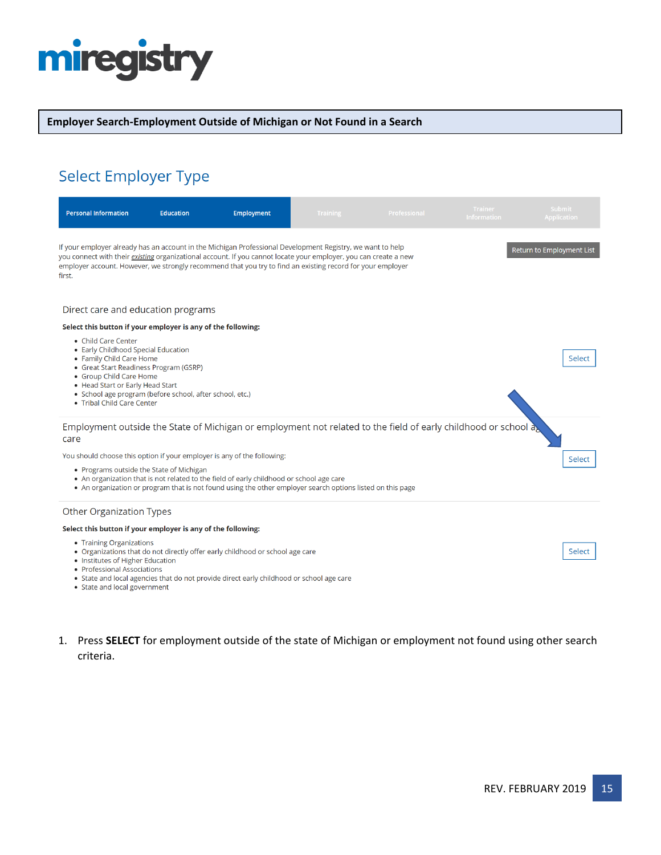# miregistry

### **Employer Search-Employment Outside of Michigan or Not Found in a Search**

# Select Employer Type

| <b>Personal Information</b>                                                                                                                                                                                                                                                                                                                            | <b>Education</b> | <b>Employment</b>                                                                                                                                                                                      | <b>Training</b> | Professional                                                                                                   | <b>Trainer</b><br><b>Information</b> | <b>Submit</b><br><b>Application</b> |
|--------------------------------------------------------------------------------------------------------------------------------------------------------------------------------------------------------------------------------------------------------------------------------------------------------------------------------------------------------|------------------|--------------------------------------------------------------------------------------------------------------------------------------------------------------------------------------------------------|-----------------|----------------------------------------------------------------------------------------------------------------|--------------------------------------|-------------------------------------|
| If your employer already has an account in the Michigan Professional Development Registry, we want to help<br>you connect with their existing organizational account. If you cannot locate your employer, you can create a new<br>employer account. However, we strongly recommend that you try to find an existing record for your employer<br>first. |                  |                                                                                                                                                                                                        |                 |                                                                                                                |                                      | <b>Return to Employment List</b>    |
| Direct care and education programs                                                                                                                                                                                                                                                                                                                     |                  |                                                                                                                                                                                                        |                 |                                                                                                                |                                      |                                     |
| Select this button if your employer is any of the following:                                                                                                                                                                                                                                                                                           |                  |                                                                                                                                                                                                        |                 |                                                                                                                |                                      |                                     |
| • Child Care Center<br>• Early Childhood Special Education<br>• Family Child Care Home<br>• Great Start Readiness Program (GSRP)<br>• Group Child Care Home<br>• Head Start or Early Head Start<br>· School age program (before school, after school, etc.)<br>• Tribal Child Care Center                                                              |                  |                                                                                                                                                                                                        |                 |                                                                                                                |                                      | Select                              |
| care                                                                                                                                                                                                                                                                                                                                                   |                  |                                                                                                                                                                                                        |                 | Employment outside the State of Michigan or employment not related to the field of early childhood or school a |                                      |                                     |
| You should choose this option if your employer is any of the following:                                                                                                                                                                                                                                                                                |                  |                                                                                                                                                                                                        |                 |                                                                                                                |                                      | Select                              |
| • Programs outside the State of Michigan                                                                                                                                                                                                                                                                                                               |                  | • An organization that is not related to the field of early childhood or school age care<br>• An organization or program that is not found using the other employer search options listed on this page |                 |                                                                                                                |                                      |                                     |
| Other Organization Types                                                                                                                                                                                                                                                                                                                               |                  |                                                                                                                                                                                                        |                 |                                                                                                                |                                      |                                     |
| Select this button if your employer is any of the following:                                                                                                                                                                                                                                                                                           |                  |                                                                                                                                                                                                        |                 |                                                                                                                |                                      |                                     |
| • Training Organizations<br>• Institutes of Higher Education<br>• Professional Associations<br>• State and local government                                                                                                                                                                                                                            |                  | • Organizations that do not directly offer early childhood or school age care<br>• State and local agencies that do not provide direct early childhood or school age care                              |                 |                                                                                                                |                                      | Select                              |

1. Press **SELECT** for employment outside of the state of Michigan or employment not found using other search criteria.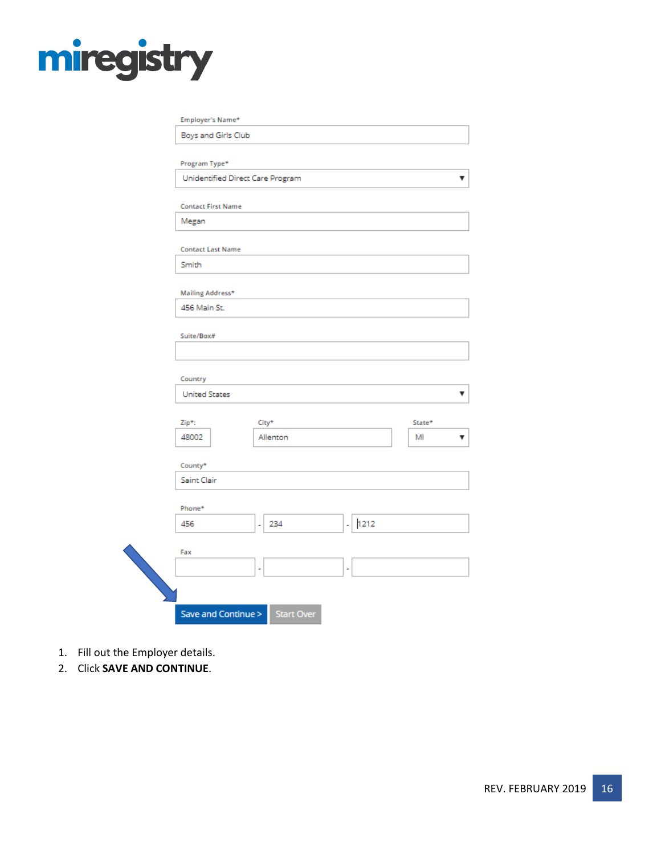# miregistry

| Program Type*                    |                       |           |        |
|----------------------------------|-----------------------|-----------|--------|
| Unidentified Direct Care Program |                       |           |        |
| <b>Contact First Name</b>        |                       |           |        |
| Megan                            |                       |           |        |
| <b>Contact Last Name</b>         |                       |           |        |
| Smith                            |                       |           |        |
| Mailing Address*                 |                       |           |        |
| 456 Main St.                     |                       |           |        |
| Suite/Box#                       |                       |           |        |
|                                  |                       |           |        |
| Country                          |                       |           |        |
| <b>United States</b>             |                       |           |        |
| Zip*:                            | City*                 |           | State* |
| 48002                            | Allenton              |           | MI     |
| County*                          |                       |           |        |
| Saint Clair                      |                       |           |        |
| Phone*                           |                       |           |        |
| 456                              | 234<br>$\overline{a}$ | 1212<br>٠ |        |
| Fax                              |                       |           |        |
|                                  |                       |           |        |

- 1. Fill out the Employer details.
- 2. Click **SAVE AND CONTINUE**.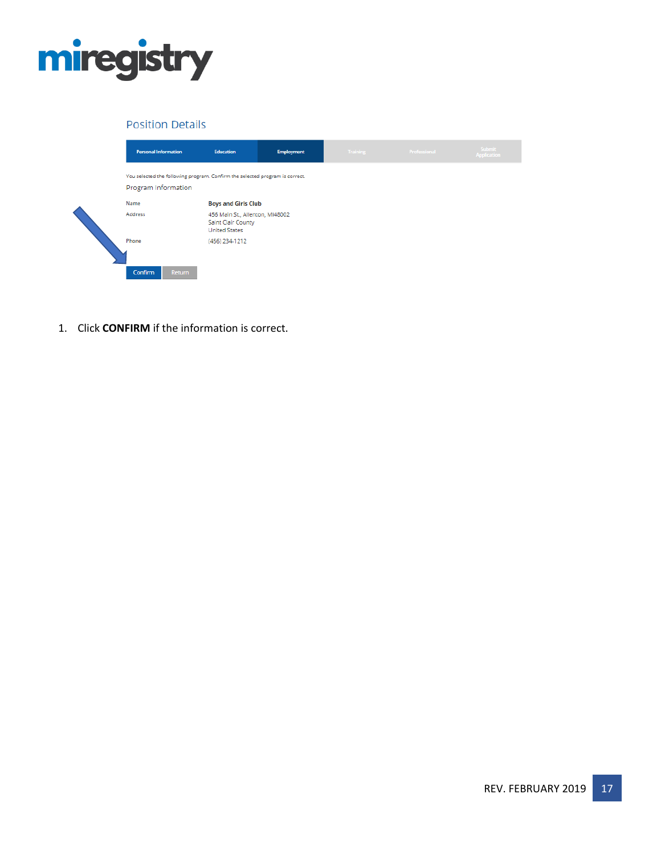

### **Position Details**

| <b>Personal Information</b>                                                                         | Education                                                                     | <b>Employment</b> | <b>Training</b> | Professional | <b>Submit</b><br><b>Application</b> |
|-----------------------------------------------------------------------------------------------------|-------------------------------------------------------------------------------|-------------------|-----------------|--------------|-------------------------------------|
| You selected the following program. Confirm the selected program is correct.<br>Program Information |                                                                               |                   |                 |              |                                     |
| Name                                                                                                | <b>Boys and Girls Club</b>                                                    |                   |                 |              |                                     |
| <b>Address</b>                                                                                      | 456 Main St., Allenton, MI48002<br>Saint Clair County<br><b>United States</b> |                   |                 |              |                                     |
| Phone                                                                                               | (456) 234-1212                                                                |                   |                 |              |                                     |
| Confirm<br>Return                                                                                   |                                                                               |                   |                 |              |                                     |

1. Click **CONFIRM** if the information is correct.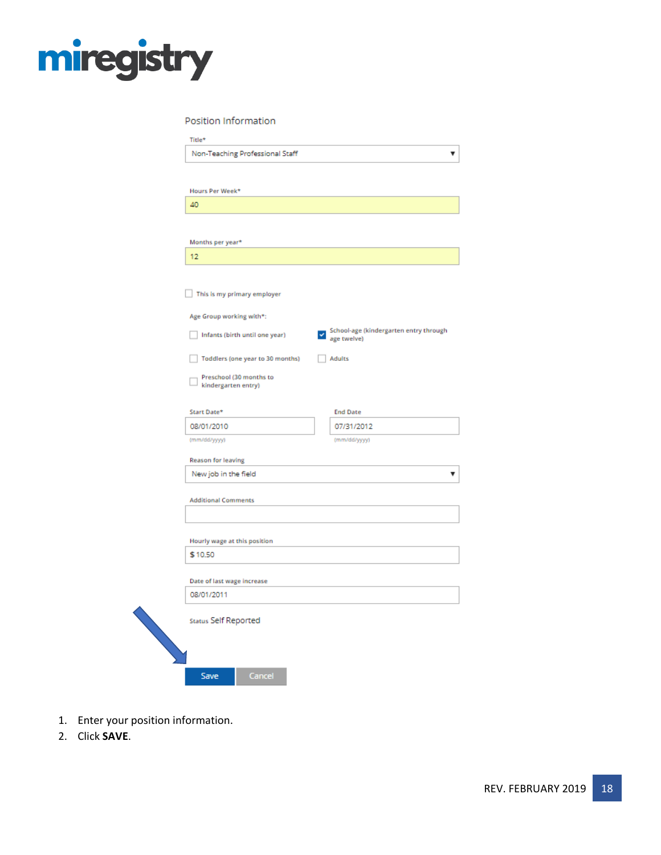

Position Information

| Non-Teaching Professional Staff                |                                             |
|------------------------------------------------|---------------------------------------------|
| Hours Per Week*                                |                                             |
| 40                                             |                                             |
|                                                |                                             |
| Months per year*                               |                                             |
| 12                                             |                                             |
| This is my primary employer                    |                                             |
| Age Group working with*:                       |                                             |
| Infants (birth until one year)                 | School-age (kindergarten entry through<br>ں |
|                                                | age twelve)                                 |
| Toddlers (one year to 30 months)               | <b>Adults</b>                               |
| Preschool (30 months to<br>kindergarten entry) |                                             |
|                                                |                                             |
| Start Date*<br>08/01/2010                      | <b>End Date</b><br>07/31/2012               |
| (mm/dd/yyyy)                                   | (mm/dd/yyyy)                                |
| Reason for leaving                             |                                             |
| New job in the field                           |                                             |
|                                                |                                             |
| <b>Additional Comments</b>                     |                                             |
|                                                |                                             |
| Hourly wage at this position<br>\$10.50        |                                             |
|                                                |                                             |
| Date of last wage increase                     |                                             |
| 08/01/2011                                     |                                             |
| Status Self Reported                           |                                             |
|                                                |                                             |
|                                                |                                             |
| Cancel<br><b>Save</b>                          |                                             |

- 1. Enter your position information.
- 2. Click **SAVE**.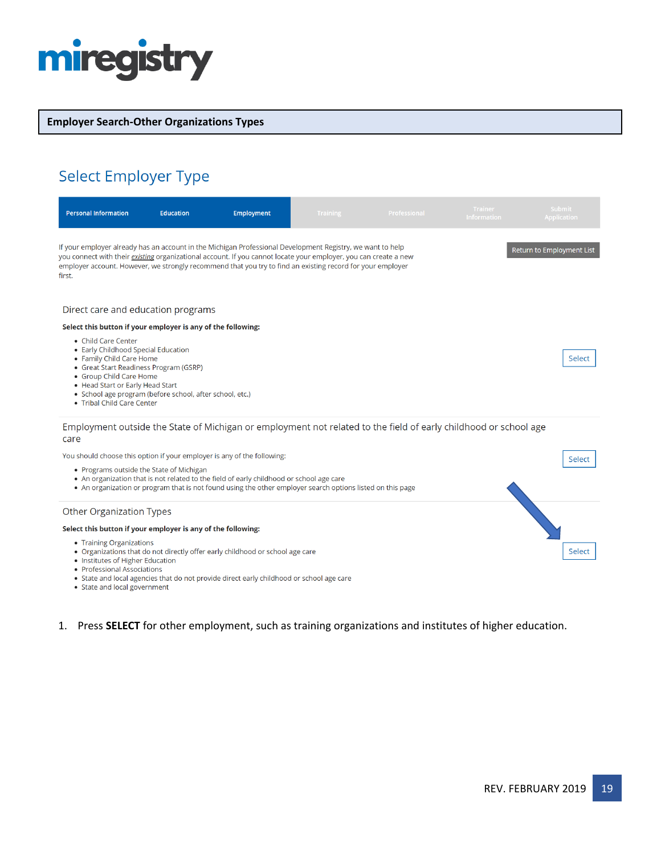

### **Employer Search-Other Organizations Types**

# Select Employer Type

| <b>Personal Information</b>                                                                                                                                                                                                                                                                                                                            | <b>Education</b> | Employment                                                                                                                                                                                             | Training | Professional                                                                                                     | <b>Trainer</b><br><b>Information</b> | <b>Submit</b><br><b>Application</b> |
|--------------------------------------------------------------------------------------------------------------------------------------------------------------------------------------------------------------------------------------------------------------------------------------------------------------------------------------------------------|------------------|--------------------------------------------------------------------------------------------------------------------------------------------------------------------------------------------------------|----------|------------------------------------------------------------------------------------------------------------------|--------------------------------------|-------------------------------------|
| If your employer already has an account in the Michigan Professional Development Registry, we want to help<br>you connect with their existing organizational account. If you cannot locate your employer, you can create a new<br>employer account. However, we strongly recommend that you try to find an existing record for your employer<br>first. |                  |                                                                                                                                                                                                        |          |                                                                                                                  |                                      | Return to Employment List           |
| Direct care and education programs                                                                                                                                                                                                                                                                                                                     |                  |                                                                                                                                                                                                        |          |                                                                                                                  |                                      |                                     |
| Select this button if your employer is any of the following:                                                                                                                                                                                                                                                                                           |                  |                                                                                                                                                                                                        |          |                                                                                                                  |                                      |                                     |
| • Child Care Center<br>• Early Childhood Special Education<br>• Family Child Care Home<br>• Great Start Readiness Program (GSRP)<br>• Group Child Care Home<br>• Head Start or Early Head Start<br>• School age program (before school, after school, etc.)<br>• Tribal Child Care Center                                                              |                  |                                                                                                                                                                                                        |          |                                                                                                                  |                                      | Select                              |
| care                                                                                                                                                                                                                                                                                                                                                   |                  |                                                                                                                                                                                                        |          | Employment outside the State of Michigan or employment not related to the field of early childhood or school age |                                      |                                     |
| You should choose this option if your employer is any of the following:                                                                                                                                                                                                                                                                                |                  |                                                                                                                                                                                                        |          |                                                                                                                  |                                      | Select                              |
| • Programs outside the State of Michigan                                                                                                                                                                                                                                                                                                               |                  | • An organization that is not related to the field of early childhood or school age care<br>• An organization or program that is not found using the other employer search options listed on this page |          |                                                                                                                  |                                      |                                     |
| <b>Other Organization Types</b>                                                                                                                                                                                                                                                                                                                        |                  |                                                                                                                                                                                                        |          |                                                                                                                  |                                      |                                     |
| Select this button if your employer is any of the following:                                                                                                                                                                                                                                                                                           |                  |                                                                                                                                                                                                        |          |                                                                                                                  |                                      |                                     |
| • Training Organizations<br>• Institutes of Higher Education<br>• Professional Associations                                                                                                                                                                                                                                                            |                  | • Organizations that do not directly offer early childhood or school age care<br>• State and local agencies that do not provide direct early childhood or school age care                              |          |                                                                                                                  |                                      | Select                              |

• State and local government

## 1. Press **SELECT** for other employment, such as training organizations and institutes of higher education.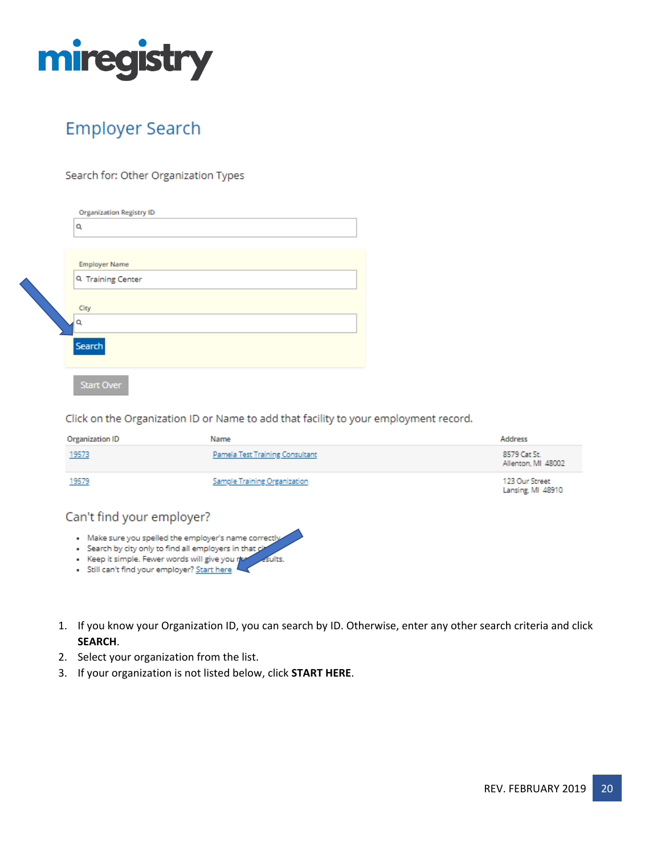

# **Employer Search**

### Search for: Other Organization Types

| <b>Organization Registry ID</b><br>Q                                           |
|--------------------------------------------------------------------------------|
| <b>Employer Name</b><br>Q Training Center<br>City<br>Q<br>Search<br>Start Over |

Click on the Organization ID or Name to add that facility to your employment record.

| Organization ID | Name                                | Address                             |
|-----------------|-------------------------------------|-------------------------------------|
| 19573           | Pamela Test Training Consultant     | 8579 Cat St.<br>Allenton, MI 48002  |
| 19579           | <b>Sample Training Organization</b> | 123 Our Street<br>Lansing, MI 48910 |

## Can't find your employer?

- . Make sure you spelled the employer's name correctly
- · Search by city only to find all employers in that cit eults.
- · Keep it simple. Fewer words will give you no
- · Still can't find your employer? Start here
- 1. If you know your Organization ID, you can search by ID. Otherwise, enter any other search criteria and click **SEARCH**.
- 2. Select your organization from the list.
- 3. If your organization is not listed below, click **START HERE**.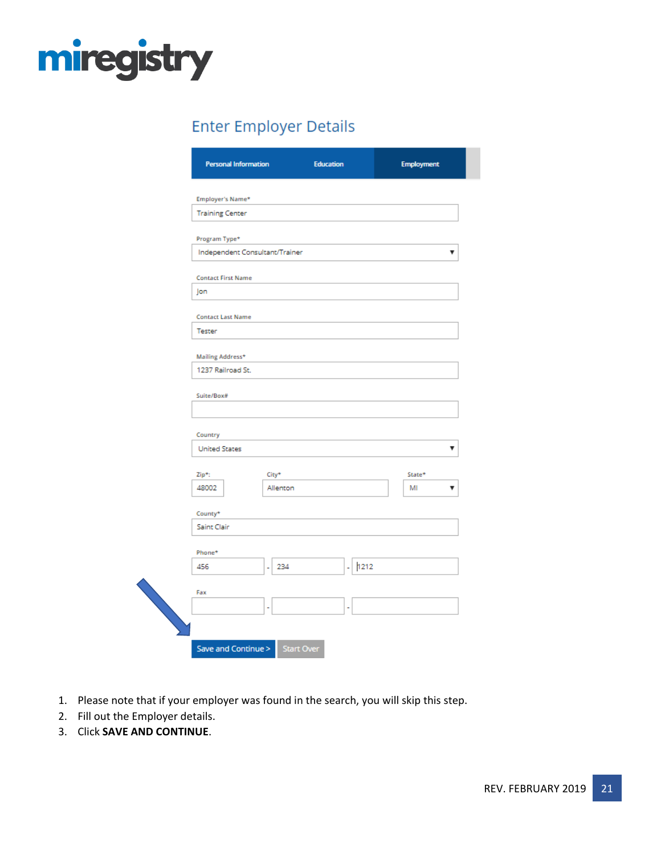

# **Enter Employer Details**

| Employer's Name*                      |           |           |        |
|---------------------------------------|-----------|-----------|--------|
| <b>Training Center</b>                |           |           |        |
| Program Type*                         |           |           |        |
| Independent Consultant/Trainer        |           |           |        |
| <b>Contact First Name</b>             |           |           |        |
| Jon                                   |           |           |        |
| <b>Contact Last Name</b>              |           |           |        |
| <b>Tester</b>                         |           |           |        |
|                                       |           |           |        |
| Mailing Address*<br>1237 Railroad St. |           |           |        |
|                                       |           |           |        |
| Suite/Box#                            |           |           |        |
|                                       |           |           |        |
| Country                               |           |           |        |
| <b>United States</b>                  |           |           |        |
| Zip*:                                 | City*     |           | State* |
| 48002                                 | Allenton  |           | MI     |
| County*                               |           |           |        |
| Saint Clair                           |           |           |        |
| Phone*                                |           |           |        |
| 456                                   | 234<br>ä, | 1212<br>÷ |        |
| Fax                                   |           |           |        |
|                                       |           |           |        |

- 1. Please note that if your employer was found in the search, you will skip this step.
- 2. Fill out the Employer details.
- 3. Click **SAVE AND CONTINUE**.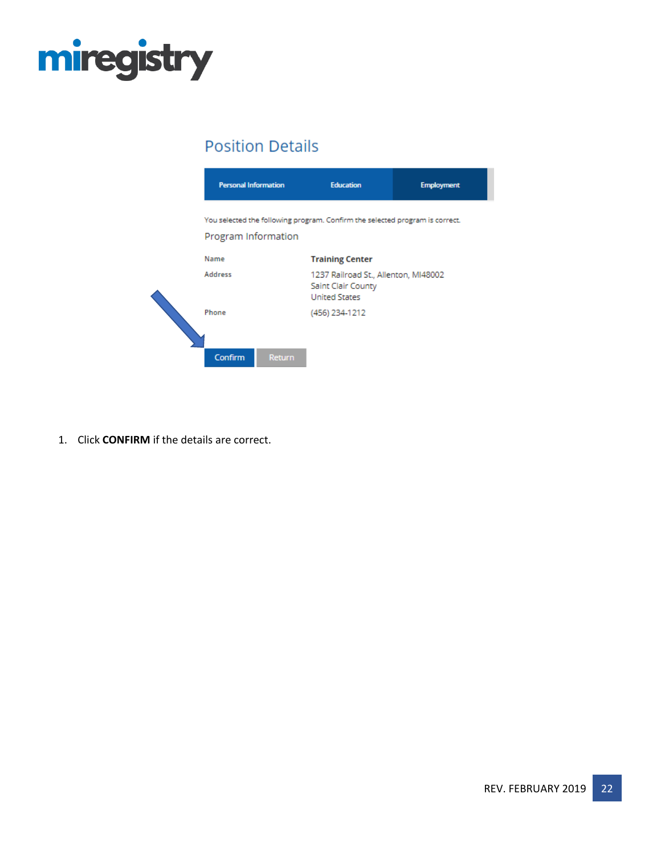

## **Position Details**



1. Click **CONFIRM** if the details are correct.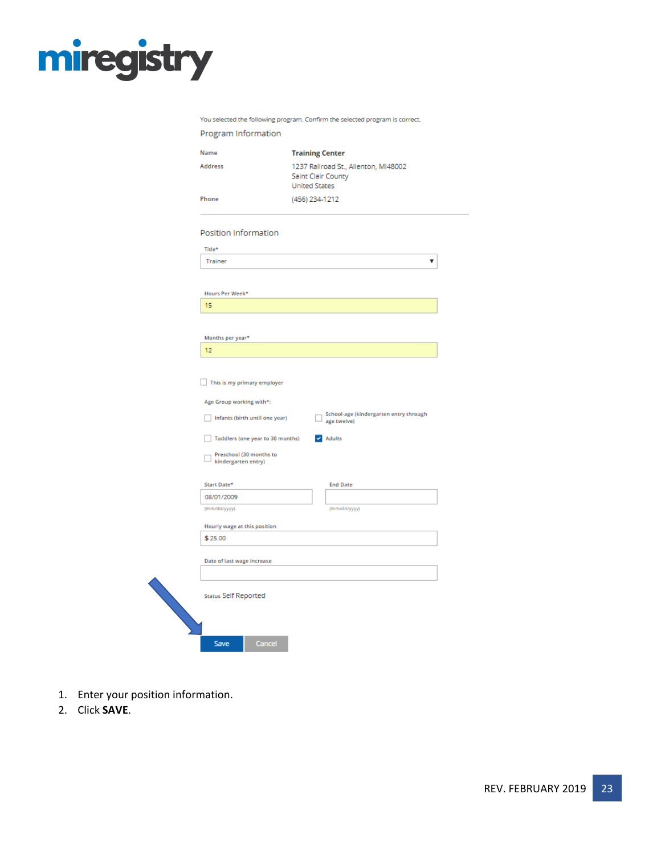# miregistry

You selected the following program. Confirm the selected program is correct.

| Program Information                                    |                                            |                                                       |  |
|--------------------------------------------------------|--------------------------------------------|-------------------------------------------------------|--|
| Name                                                   | <b>Training Center</b>                     |                                                       |  |
| <b>Address</b>                                         | Saint Clair County<br><b>United States</b> | 1237 Railroad St., Allenton, MI48002                  |  |
| Phone                                                  | (456) 234-1212                             |                                                       |  |
| Position Information                                   |                                            |                                                       |  |
| Title*                                                 |                                            |                                                       |  |
| Trainer                                                |                                            |                                                       |  |
|                                                        |                                            |                                                       |  |
| Hours Per Week*                                        |                                            |                                                       |  |
| 15                                                     |                                            |                                                       |  |
|                                                        |                                            |                                                       |  |
| Months per year*                                       |                                            |                                                       |  |
| 12                                                     |                                            |                                                       |  |
|                                                        |                                            |                                                       |  |
| This is my primary employer                            |                                            |                                                       |  |
| Age Group working with*:                               |                                            |                                                       |  |
| Infants (birth until one year)                         |                                            | School-age (kindergarten entry through<br>age twelve) |  |
| Toddlers (one year to 30 months)                       |                                            | $\blacktriangleright$ Adults                          |  |
| Preschool (30 months to<br>$\perp$ kindergarten entry) |                                            |                                                       |  |
| Start Date*                                            |                                            | <b>End Date</b>                                       |  |
| 08/01/2009                                             |                                            |                                                       |  |
| (mm/dd/yyyy)                                           |                                            | (mm/dd/yyyy)                                          |  |
| Hourly wage at this position                           |                                            |                                                       |  |
| \$25.00                                                |                                            |                                                       |  |
| Date of last wage increase                             |                                            |                                                       |  |
| <b>Status Self Reported</b>                            |                                            |                                                       |  |
| Cancel<br>Save                                         |                                            |                                                       |  |

- 1. Enter your position information.
- 2. Click **SAVE**.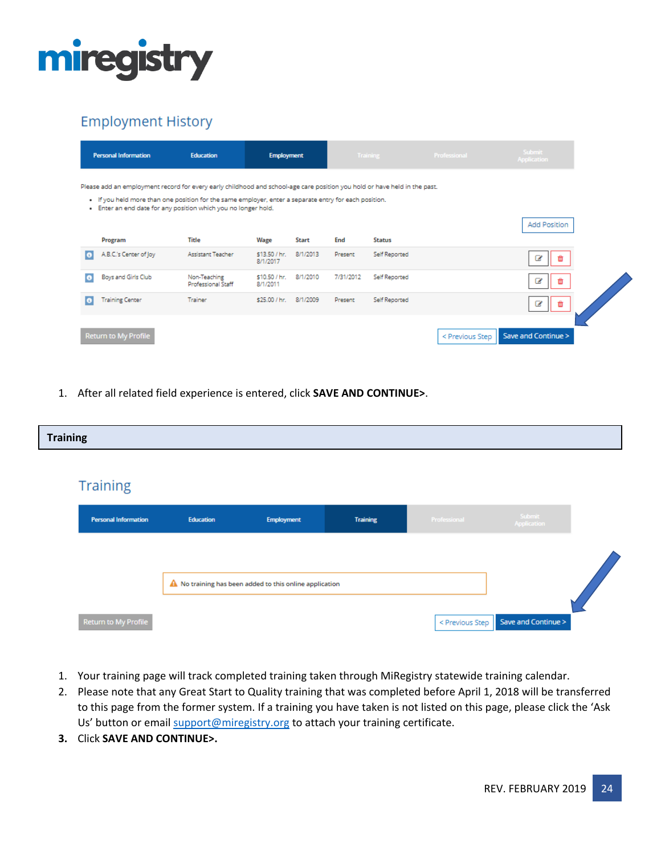

## **Employment History**

|   | <b>Personal Information</b>                                                                                                                                                                                                                                                                          | <b>Education</b>                          | <b>Employment</b>         |          |           | <b>Training</b> | Professional    | <b>Submit</b><br><b>Application</b> |  |
|---|------------------------------------------------------------------------------------------------------------------------------------------------------------------------------------------------------------------------------------------------------------------------------------------------------|-------------------------------------------|---------------------------|----------|-----------|-----------------|-----------------|-------------------------------------|--|
|   | Please add an employment record for every early childhood and school-age care position you hold or have held in the past.<br>. If you held more than one position for the same employer, enter a separate entry for each position.<br>. Enter an end date for any position which you no longer hold. |                                           |                           |          |           |                 |                 |                                     |  |
|   |                                                                                                                                                                                                                                                                                                      |                                           |                           |          |           |                 |                 | <b>Add Position</b>                 |  |
|   | Program                                                                                                                                                                                                                                                                                              | Title                                     | Wage                      | Start    | End       | <b>Status</b>   |                 |                                     |  |
| o | A.B.C.'s Center of Joy                                                                                                                                                                                                                                                                               | Assistant Teacher                         | \$13.50 / hr.<br>8/1/2017 | 8/1/2013 | Present   | Self Reported   |                 |                                     |  |
| o | Boys and Girls Club                                                                                                                                                                                                                                                                                  | Non-Teaching<br><b>Professional Staff</b> | \$10.50 / hr.<br>8/1/2011 | 8/1/2010 | 7/31/2012 | Self Reported   |                 |                                     |  |
|   | <b>Training Center</b>                                                                                                                                                                                                                                                                               | Trainer                                   | \$25.00 / hr. 8/1/2009    |          | Present   | Self Reported   |                 |                                     |  |
|   | Return to My Profile                                                                                                                                                                                                                                                                                 |                                           |                           |          |           |                 | < Previous Step | Save and Continue >                 |  |

1. After all related field experience is entered, click **SAVE AND CONTINUE>**.

| <b>Training</b>             |           |                                                         |                 |                 |                       |  |
|-----------------------------|-----------|---------------------------------------------------------|-----------------|-----------------|-----------------------|--|
|                             |           |                                                         |                 |                 |                       |  |
| <b>Training</b>             |           |                                                         |                 |                 |                       |  |
| <b>Personal Information</b> | Education | <b>Employment</b>                                       | <b>Training</b> | Professional    | Submit<br>Application |  |
|                             |           |                                                         |                 |                 |                       |  |
|                             |           | A No training has been added to this online application |                 |                 |                       |  |
|                             |           |                                                         |                 |                 |                       |  |
| Return to My Profile        |           |                                                         |                 | < Previous Step | Save and Continue >   |  |

- 1. Your training page will track completed training taken through MiRegistry statewide training calendar.
- 2. Please note that any Great Start to Quality training that was completed before April 1, 2018 will be transferred to this page from the former system. If a training you have taken is not listed on this page, please click the 'Ask Us' button or email [support@miregistry.org](mailto:support@miregistry.org) to attach your training certificate.
- **3.** Click **SAVE AND CONTINUE>.**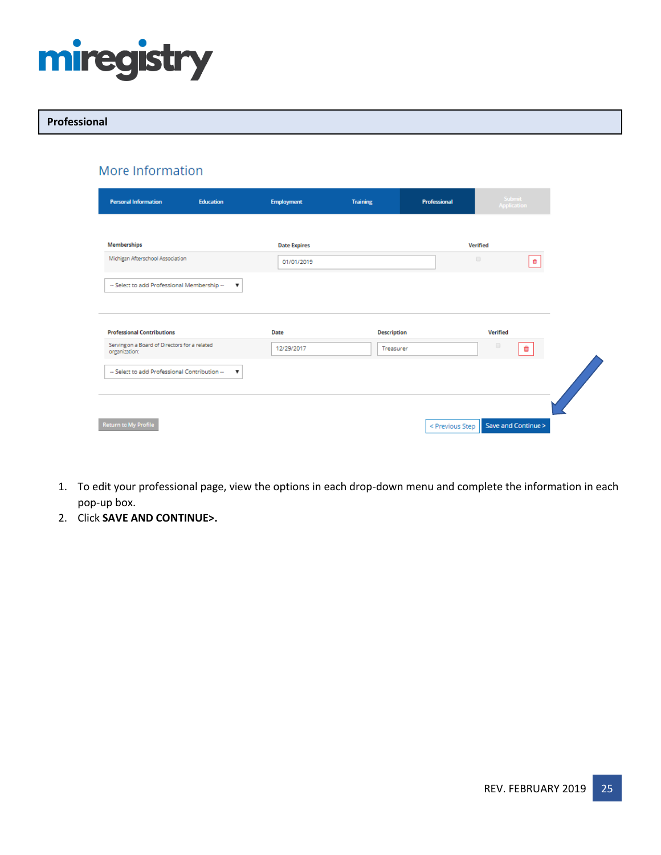

### **Professional**

## More Information

| <b>Personal Information</b>                                    | <b>Education</b>          | <b>Employment</b>   | <b>Training</b>    | Professional |                      | Submit<br>Application |
|----------------------------------------------------------------|---------------------------|---------------------|--------------------|--------------|----------------------|-----------------------|
| <b>Memberships</b>                                             |                           | <b>Date Expires</b> |                    |              | Verified             |                       |
| Michigan Afterschool Association                               |                           | 01/01/2019          |                    |              | $\qquad \qquad \Box$ | O.                    |
| -- Select to add Professional Membership --                    | $\boldsymbol{\mathrm{v}}$ |                     |                    |              |                      |                       |
|                                                                |                           |                     |                    |              |                      |                       |
| <b>Professional Contributions</b>                              |                           | Date                | <b>Description</b> |              | Verified             |                       |
| Serving on a Board of Directors for a related<br>organization: |                           | 12/29/2017          | Treasurer          |              | $\qquad \qquad \Box$ | û                     |
|                                                                |                           |                     |                    |              |                      |                       |
| -- Select to add Professional Contribution --                  | ▼                         |                     |                    |              |                      |                       |
|                                                                |                           |                     |                    |              |                      |                       |
|                                                                |                           |                     |                    |              |                      |                       |

- 1. To edit your professional page, view the options in each drop-down menu and complete the information in each pop-up box.
- 2. Click **SAVE AND CONTINUE>.**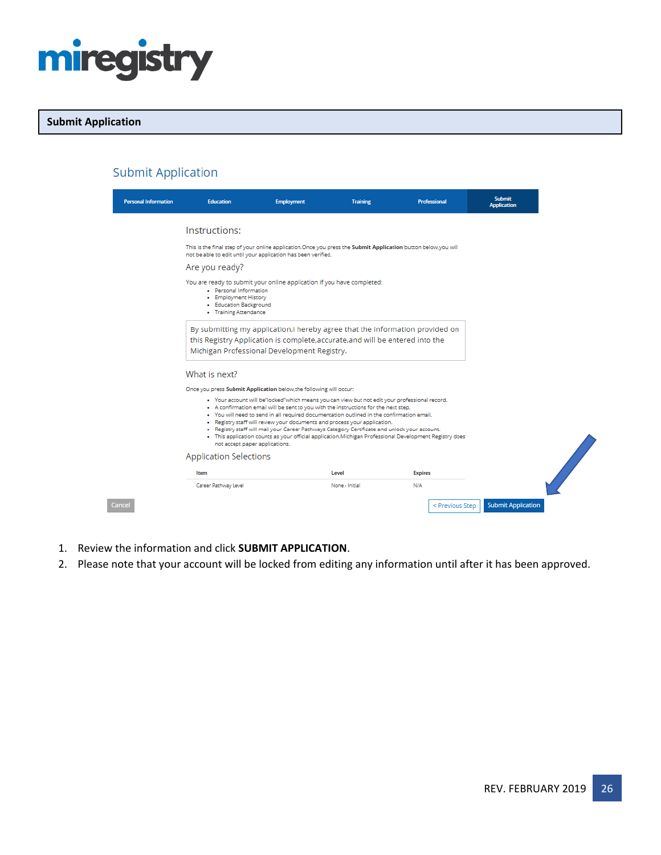

## **Submit Application**

| <b>Personal Information</b> | <b>Education</b>                                                                                                                                                                                             | <b>Employment</b>                                                                                                                                                                                                                                                                                                                                                                                                                                                                                                                                                          | <b>Training</b> | Professional   | <b>Submit</b><br><b>Application</b> |  |
|-----------------------------|--------------------------------------------------------------------------------------------------------------------------------------------------------------------------------------------------------------|----------------------------------------------------------------------------------------------------------------------------------------------------------------------------------------------------------------------------------------------------------------------------------------------------------------------------------------------------------------------------------------------------------------------------------------------------------------------------------------------------------------------------------------------------------------------------|-----------------|----------------|-------------------------------------|--|
|                             | Instructions:                                                                                                                                                                                                |                                                                                                                                                                                                                                                                                                                                                                                                                                                                                                                                                                            |                 |                |                                     |  |
|                             |                                                                                                                                                                                                              | This is the final step of your online application. Once you press the Submit Application button below, you will<br>not be able to edit until your application has been verified.                                                                                                                                                                                                                                                                                                                                                                                           |                 |                |                                     |  |
|                             | Are you ready?                                                                                                                                                                                               |                                                                                                                                                                                                                                                                                                                                                                                                                                                                                                                                                                            |                 |                |                                     |  |
|                             | · Personal Information<br>· Employment History<br>• Education Background<br>• Training Attendance                                                                                                            | You are ready to submit your online application if you have completed:                                                                                                                                                                                                                                                                                                                                                                                                                                                                                                     |                 |                |                                     |  |
|                             | By submitting my application,I hereby agree that the information provided on<br>this Registry Application is complete, accurate, and will be entered into the<br>Michigan Professional Development Registry. |                                                                                                                                                                                                                                                                                                                                                                                                                                                                                                                                                                            |                 |                |                                     |  |
|                             | What is next?                                                                                                                                                                                                |                                                                                                                                                                                                                                                                                                                                                                                                                                                                                                                                                                            |                 |                |                                     |  |
|                             |                                                                                                                                                                                                              | Once you press Submit Application below, the following will occur:                                                                                                                                                                                                                                                                                                                                                                                                                                                                                                         |                 |                |                                     |  |
|                             | not accept paper applications.                                                                                                                                                                               | · Your account will be"locked"which means you can view but not edit your professional record.<br>- A confirmation email will be sent to you with the instructions for the next step.<br>. You will need to send in all required documentation outlined in the confirmation email.<br>. Registry staff will review your documents and process your application.<br>. Registry staff will mail your Career Pathways Category Certificate and unlock your account.<br>. This application counts as your official application. Michigan Professional Development Registry does |                 |                |                                     |  |
|                             | <b>Application Selections</b>                                                                                                                                                                                |                                                                                                                                                                                                                                                                                                                                                                                                                                                                                                                                                                            |                 |                |                                     |  |
|                             | Item                                                                                                                                                                                                         |                                                                                                                                                                                                                                                                                                                                                                                                                                                                                                                                                                            | Level           | <b>Expires</b> |                                     |  |

- 1. Review the information and click **SUBMIT APPLICATION**.
- 2. Please note that your account will be locked from editing any information until after it has been approved.